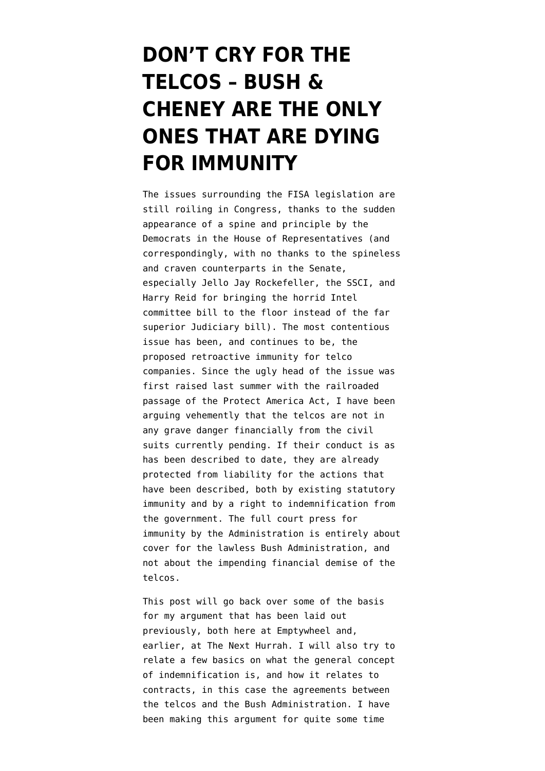## **[DON'T CRY FOR THE](https://www.emptywheel.net/2008/02/18/dont-cry-for-the-telcos-bush-cheney-are-the-only-ones-that-are-dying-for-immunity/) [TELCOS – BUSH &](https://www.emptywheel.net/2008/02/18/dont-cry-for-the-telcos-bush-cheney-are-the-only-ones-that-are-dying-for-immunity/) [CHENEY ARE THE ONLY](https://www.emptywheel.net/2008/02/18/dont-cry-for-the-telcos-bush-cheney-are-the-only-ones-that-are-dying-for-immunity/) [ONES THAT ARE DYING](https://www.emptywheel.net/2008/02/18/dont-cry-for-the-telcos-bush-cheney-are-the-only-ones-that-are-dying-for-immunity/) [FOR IMMUNITY](https://www.emptywheel.net/2008/02/18/dont-cry-for-the-telcos-bush-cheney-are-the-only-ones-that-are-dying-for-immunity/)**

The issues surrounding the FISA legislation are still roiling in Congress, thanks to the sudden appearance of a spine and principle by the Democrats in the House of Representatives (and correspondingly, with no thanks to the spineless and craven counterparts in the Senate, especially Jello Jay Rockefeller, the SSCI, and Harry Reid for bringing the horrid Intel committee bill to the floor instead of the far superior Judiciary bill). The most contentious issue has been, and continues to be, the proposed retroactive immunity for telco companies. Since the ugly head of the issue was first raised last summer with the railroaded passage of the Protect America Act, I have been arguing vehemently that the telcos are not in any grave danger financially from the civil suits currently pending. If their conduct is as has been described to date, they are already protected from liability for the actions that have been described, both by existing statutory immunity and by a right to indemnification from the government. The full court press for immunity by the Administration is entirely about cover for the lawless Bush Administration, and not about the impending financial demise of the telcos.

This post will go back over some of the basis for my argument that has been laid out previously, both here at [Emptywheel](http://emptywheel.firedoglake.com/2008/02/10/dont-gag-ma-bell/#comment-51998) and, earlier, at [The Next Hurrah](http://thenexthurrah.typepad.com/the_next_hurrah/2007/09/the-pre-emptive.html). I will also try to relate a few basics on what the general concept of indemnification is, and how it relates to contracts, in this case the agreements between the telcos and the Bush Administration. I have been making this argument for quite some time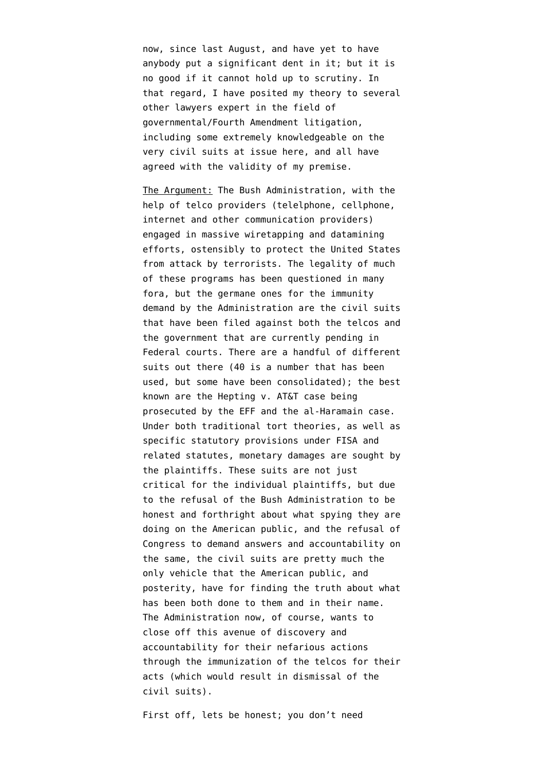now, since last August, and have yet to have anybody put a significant dent in it; but it is no good if it cannot hold up to scrutiny. In that regard, I have posited my theory to several other lawyers expert in the field of governmental/Fourth Amendment litigation, including some extremely knowledgeable on the very civil suits at issue here, and all have agreed with the validity of my premise.

The Argument: The Bush Administration, with the help of telco providers (telelphone, cellphone, internet and other communication providers) engaged in massive wiretapping and datamining efforts, ostensibly to protect the United States from attack by terrorists. The legality of much of these programs has been questioned in many fora, but the germane ones for the immunity demand by the Administration are the civil suits that have been filed against both the telcos and the government that are currently pending in Federal courts. There are a handful of different suits out there (40 is a number that has been used, but some have been consolidated); the best known are the [Hepting v. AT&T](http://www.eff.org/cases/hepting) case being prosecuted by the [EFF](http://www.eff.org/about) and the [al-Haramain](http://www.washingtonpost.com/wp-dyn/content/article/2006/03/01/AR2006030102585.html) case. Under both traditional tort theories, as well as specific statutory provisions under FISA and related statutes, monetary damages are sought by the plaintiffs. These suits are not just critical for the individual plaintiffs, but due to the refusal of the Bush Administration to be honest and forthright about what spying they are doing on the American public, and the refusal of Congress to demand answers and accountability on the same, the civil suits are pretty much the only vehicle that the American public, and posterity, have for finding the truth about what has been both done to them and in their name. The Administration now, of course, wants to [close off this avenue of discovery and](http://www.whitehouse.gov/news/releases/2008/02/20080215-10.html) [accountability](http://www.whitehouse.gov/news/releases/2008/02/20080215-10.html) for their nefarious actions through the immunization of the telcos for their acts (which would result in dismissal of the civil suits).

First off, lets be honest; you don't need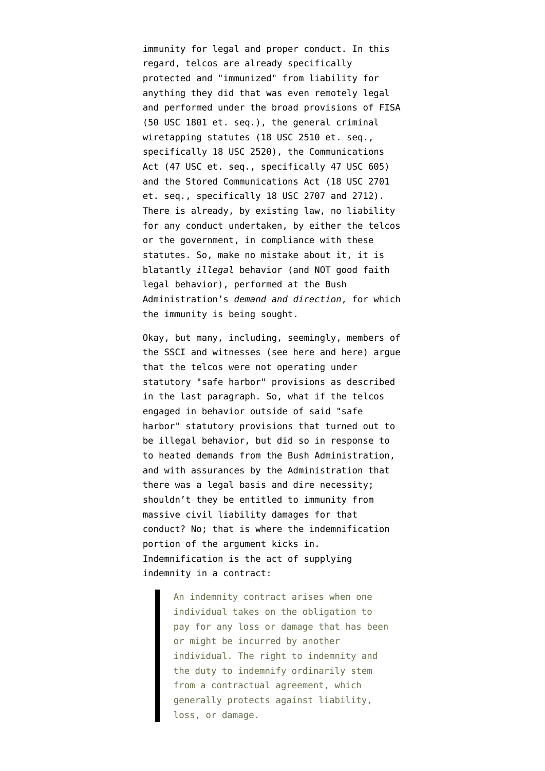immunity for legal and proper conduct. In this regard, telcos are already specifically protected and "immunized" from liability for anything they did that was even remotely legal and performed under the broad provisions of FISA ([50 USC 1801 et. seq.](http://www.law.cornell.edu/uscode/uscode50/usc_sup_01_50_10_36_20_I.html)), the general criminal wiretapping statutes [\(18 USC 2510 et. seq.,](http://www.law.cornell.edu/uscode/html/uscode18/usc_sup_01_18_10_I_20_119.html) [specifically 18 USC 2520\)](http://www.law.cornell.edu/uscode/html/uscode18/usc_sup_01_18_10_I_20_119.html), the Communications Act [\(47 USC et. seq., specifically 47 USC 605](http://www.law.cornell.edu/uscode/html/uscode47/usc_sup_01_47.html)) and the Stored Communications Act [\(18 USC 2701](http://www4.law.cornell.edu/uscode/18/pIch121.html) [et. seq., specifically 18 USC 2707 and 2712](http://www4.law.cornell.edu/uscode/18/pIch121.html)). There is already, by existing law, no liability for any conduct undertaken, by either the telcos or the government, in compliance with these statutes. So, make no mistake about it, it is blatantly *illegal* behavior (and NOT good faith legal behavior), performed at the Bush Administration's *demand and direction*, for which the immunity is being sought.

Okay, but many, including, seemingly, members of the SSCI and witnesses (see [here](http://emptywheel.firedoglake.com/2008/02/18/fisa-and-the-warrantless-wiretap-briefings/#comment-53510) and [here\)](http://emptywheel.firedoglake.com/2008/02/18/fisa-and-the-warrantless-wiretap-briefings/#comment-53524) argue that the telcos were not operating under statutory "safe harbor" provisions as described in the last paragraph. So, what if the telcos engaged in behavior outside of said "safe harbor" statutory provisions that turned out to be illegal behavior, but did so in response to to heated demands from the Bush Administration, and with assurances by the Administration that there was a legal basis and dire necessity; shouldn't they be entitled to immunity from massive civil liability damages for that conduct? No; that is where the indemnification portion of the argument kicks in. Indemnification is the act of supplying [indemnity in a contract:](http://legal-dictionary.thefreedictionary.com/indemnification)

> An indemnity contract arises when one individual takes on the obligation to pay for any loss or damage that has been or might be incurred by another individual. The right to indemnity and the duty to indemnify ordinarily stem from a contractual agreement, which generally protects against liability, loss, or damage.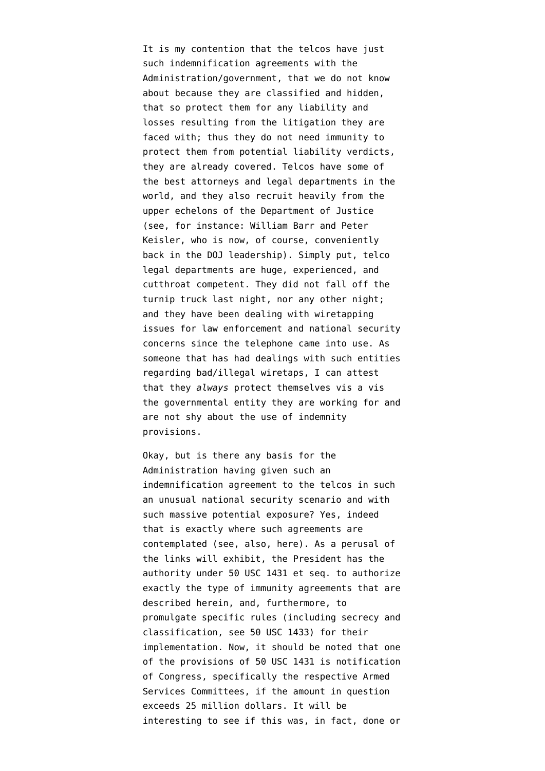It is my contention that the telcos have just such indemnification agreements with the Administration/government, that we do not know about because they are classified and hidden, that so protect them for any liability and losses resulting from the litigation they are faced with; thus they do not need immunity to protect them from potential liability verdicts, they are already covered. Telcos have some of the best attorneys and legal departments in the world, and they also recruit heavily from the upper echelons of the Department of Justice (see, for instance: [William Barr](http://en.wikipedia.org/wiki/William_Barr_%28American_Attorney_General%29) and [Peter](http://thenexthurrah.typepad.com/the_next_hurrah/2007/09/the-united-stat.html) [Keisler,](http://thenexthurrah.typepad.com/the_next_hurrah/2007/09/the-united-stat.html) who is now, of course, conveniently back in the DOJ leadership). Simply put, telco legal departments are huge, experienced, and cutthroat competent. They did not fall off the turnip truck last night, nor any other night; and they have been dealing with wiretapping issues for law enforcement and national security concerns since the telephone came into use. As someone that has had dealings with such entities regarding bad/illegal wiretaps, I can attest that they *always* protect themselves vis a vis the governmental entity they are working for and are not shy about the use of indemnity provisions.

Okay, but is there any basis for the Administration having given such an indemnification agreement to the telcos in such an unusual national security scenario and with such massive potential exposure? [Yes, indeed](http://www.law.fsu.edu/library/admin/acus/305882.html) that is exactly where such agreements are contemplated (see, also, [here](http://www.itaa.org/es/docs/ombattach.pdf)). As a perusal of the links will exhibit, the President has the authority under [50 USC 1431 et seq.](http://www.law.cornell.edu/uscode/html/uscode50/usc_sup_01_50_10_29.html) to authorize exactly the type of immunity agreements that are described herein, and, furthermore, to promulgate specific rules (including secrecy and classification, see [50 USC 1433\)](http://www.law.cornell.edu/uscode/html/uscode50/usc_sec_50_00001433----000-.html) for their implementation. Now, it should be noted that one of the provisions of 50 USC 1431 is notification of Congress, specifically the respective Armed Services Committees, if the amount in question exceeds 25 million dollars. It will be interesting to see if this was, in fact, done or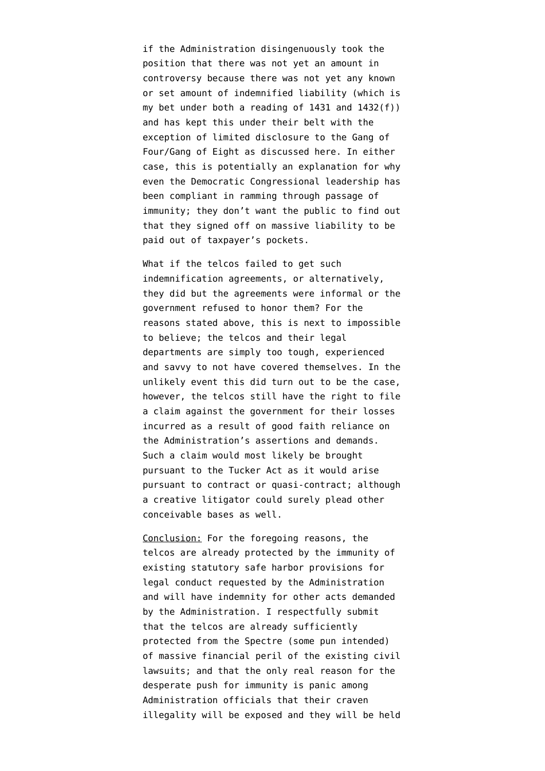if the Administration disingenuously took the position that there was not yet an amount in controversy because there was not yet any known or set amount of indemnified liability (which is my bet under both a reading of 1431 and 1432(f)) and has kept this under their belt with the exception of limited disclosure to the Gang of Four/Gang of Eight as discussed [here](http://emptywheel.firedoglake.com/2008/02/18/fisa-and-the-warrantless-wiretap-briefings/). In either case, this is potentially an explanation for why even the Democratic Congressional leadership has been compliant in ramming through passage of immunity; they don't want the public to find out that they signed off on massive liability to be paid out of taxpayer's pockets.

What if the telcos failed to get such indemnification agreements, or alternatively, they did but the agreements were informal or the government refused to honor them? For the reasons stated above, this is next to impossible to believe; the telcos and their legal departments are simply too tough, experienced and savvy to not have covered themselves. In the unlikely event this did turn out to be the case, however, the telcos still have the right to file a claim against the government for their losses incurred as a result of good faith reliance on the Administration's assertions and demands. Such a claim would most likely be brought pursuant to the [Tucker Act](http://en.wikipedia.org/wiki/Tucker_Act) as it would arise pursuant to contract or quasi-contract; although a creative litigator could surely plead other conceivable bases as well.

Conclusion: For the foregoing reasons, the telcos are already protected by the immunity of existing statutory safe harbor provisions for legal conduct requested by the Administration and will have indemnity for other acts demanded by the Administration. I respectfully submit that the telcos are already sufficiently protected from the Spectre (some pun intended) of massive financial peril of the existing civil lawsuits; and that the only real reason for the desperate push for immunity is panic among Administration officials that their craven illegality will be exposed and they will be held